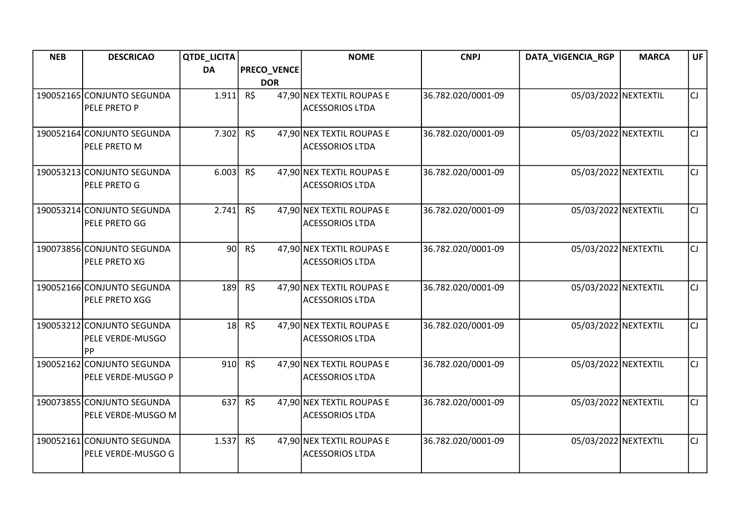| <b>NEB</b> | <b>DESCRICAO</b>           | <b>QTDE_LICITA</b> |                    | <b>NOME</b>               | <b>CNPJ</b>        | DATA_VIGENCIA_RGP    | <b>MARCA</b> | <b>UF</b> |
|------------|----------------------------|--------------------|--------------------|---------------------------|--------------------|----------------------|--------------|-----------|
|            |                            | <b>DA</b>          | <b>PRECO_VENCE</b> |                           |                    |                      |              |           |
|            |                            |                    | <b>DOR</b>         |                           |                    |                      |              |           |
|            | 190052165 CONJUNTO SEGUNDA | 1.911              | R\$                | 47,90 NEX TEXTIL ROUPAS E | 36.782.020/0001-09 | 05/03/2022 NEXTEXTIL |              | lcı.      |
|            | PELE PRETO P               |                    |                    | <b>ACESSORIOS LTDA</b>    |                    |                      |              |           |
|            |                            |                    |                    |                           |                    |                      |              |           |
|            | 190052164 CONJUNTO SEGUNDA | 7.302              | R\$                | 47,90 NEX TEXTIL ROUPAS E | 36.782.020/0001-09 | 05/03/2022 NEXTEXTIL |              | lcı.      |
|            | PELE PRETO M               |                    |                    | <b>ACESSORIOS LTDA</b>    |                    |                      |              |           |
|            |                            |                    |                    |                           |                    |                      |              |           |
|            | 190053213 CONJUNTO SEGUNDA | 6.003              | R\$                | 47,90 NEX TEXTIL ROUPAS E | 36.782.020/0001-09 | 05/03/2022 NEXTEXTIL |              | lcı       |
|            | PELE PRETO G               |                    |                    | <b>ACESSORIOS LTDA</b>    |                    |                      |              |           |
|            | 190053214 CONJUNTO SEGUNDA | 2.741              | R\$                | 47,90 NEX TEXTIL ROUPAS E | 36.782.020/0001-09 | 05/03/2022 NEXTEXTIL |              | lcı.      |
|            | PELE PRETO GG              |                    |                    | <b>ACESSORIOS LTDA</b>    |                    |                      |              |           |
|            |                            |                    |                    |                           |                    |                      |              |           |
|            | 190073856 CONJUNTO SEGUNDA | 90 <sub>0</sub>    | R\$                | 47,90 NEX TEXTIL ROUPAS E | 36.782.020/0001-09 | 05/03/2022 NEXTEXTIL |              | lcı.      |
|            | PELE PRETO XG              |                    |                    | <b>ACESSORIOS LTDA</b>    |                    |                      |              |           |
|            |                            |                    |                    |                           |                    |                      |              |           |
|            | 190052166 CONJUNTO SEGUNDA | 189                | R\$                | 47,90 NEX TEXTIL ROUPAS E | 36.782.020/0001-09 | 05/03/2022 NEXTEXTIL |              | lcı.      |
|            | PELE PRETO XGG             |                    |                    | <b>ACESSORIOS LTDA</b>    |                    |                      |              |           |
|            |                            |                    |                    |                           |                    |                      |              |           |
|            | 190053212 CONJUNTO SEGUNDA | 18                 | R\$                | 47,90 NEX TEXTIL ROUPAS E | 36.782.020/0001-09 | 05/03/2022 NEXTEXTIL |              | lcı.      |
|            | PELE VERDE-MUSGO           |                    |                    | <b>ACESSORIOS LTDA</b>    |                    |                      |              |           |
|            | <b>PP</b>                  |                    |                    |                           |                    |                      |              |           |
|            | 190052162 CONJUNTO SEGUNDA | 910                | $R\zeta$           | 47,90 NEX TEXTIL ROUPAS E | 36.782.020/0001-09 | 05/03/2022 NEXTEXTIL |              | lcı.      |
|            | PELE VERDE-MUSGO P         |                    |                    | <b>ACESSORIOS LTDA</b>    |                    |                      |              |           |
|            |                            |                    |                    |                           |                    |                      |              |           |
|            | 190073855 CONJUNTO SEGUNDA | 637                | R\$                | 47,90 NEX TEXTIL ROUPAS E | 36.782.020/0001-09 | 05/03/2022 NEXTEXTIL |              | lcı.      |
|            | PELE VERDE-MUSGO M         |                    |                    | <b>ACESSORIOS LTDA</b>    |                    |                      |              |           |
|            | 190052161 CONJUNTO SEGUNDA | 1.537              | R\$                | 47,90 NEX TEXTIL ROUPAS E | 36.782.020/0001-09 | 05/03/2022 NEXTEXTIL |              | lcı.      |
|            | PELE VERDE-MUSGO G         |                    |                    | <b>ACESSORIOS LTDA</b>    |                    |                      |              |           |
|            |                            |                    |                    |                           |                    |                      |              |           |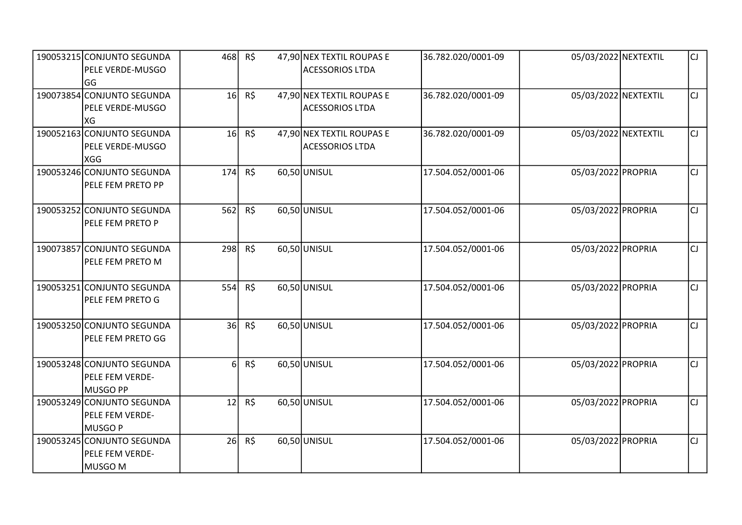| 190053215 CONJUNTO SEGUNDA<br>PELE VERDE-MUSGO<br>lGG           | 468             | R\$            | 47,90 NEX TEXTIL ROUPAS E<br><b>ACESSORIOS LTDA</b> | 36.782.020/0001-09 | 05/03/2022 NEXTEXTIL | lcı. |
|-----------------------------------------------------------------|-----------------|----------------|-----------------------------------------------------|--------------------|----------------------|------|
| 190073854 CONJUNTO SEGUNDA<br>PELE VERDE-MUSGO<br>XG            | 16              | R\$            | 47,90 NEX TEXTIL ROUPAS E<br><b>ACESSORIOS LTDA</b> | 36.782.020/0001-09 | 05/03/2022 NEXTEXTIL | lcı. |
| 190052163 CONJUNTO SEGUNDA<br>PELE VERDE-MUSGO<br>XGG           | 16 <sup>1</sup> | R\$            | 47,90 NEX TEXTIL ROUPAS E<br><b>ACESSORIOS LTDA</b> | 36.782.020/0001-09 | 05/03/2022 NEXTEXTIL | lcı. |
| 190053246 CONJUNTO SEGUNDA<br>PELE FEM PRETO PP                 | 174             | R\$            | 60,50 UNISUL                                        | 17.504.052/0001-06 | 05/03/2022 PROPRIA   | lcı  |
| 190053252 CONJUNTO SEGUNDA<br>PELE FEM PRETO P                  | 562             | $R\frac{2}{3}$ | 60,50 UNISUL                                        | 17.504.052/0001-06 | 05/03/2022 PROPRIA   | lcı. |
| 190073857 CONJUNTO SEGUNDA<br>PELE FEM PRETO M                  | 298             | R\$            | 60,50 UNISUL                                        | 17.504.052/0001-06 | 05/03/2022 PROPRIA   | lcı. |
| 190053251 CONJUNTO SEGUNDA<br>PELE FEM PRETO G                  | 554             | R\$            | 60,50 UNISUL                                        | 17.504.052/0001-06 | 05/03/2022 PROPRIA   | lcı. |
| 190053250 CONJUNTO SEGUNDA<br>PELE FEM PRETO GG                 | 36              | $R\zeta$       | 60,50 UNISUL                                        | 17.504.052/0001-06 | 05/03/2022 PROPRIA   | lcı. |
| 190053248 CONJUNTO SEGUNDA<br>PELE FEM VERDE-<br>MUSGO PP       | 6 <sup>1</sup>  | R\$            | 60,50 UNISUL                                        | 17.504.052/0001-06 | 05/03/2022 PROPRIA   | lcı. |
| 190053249 CONJUNTO SEGUNDA<br>PELE FEM VERDE-<br><b>MUSGO P</b> | 12              | R\$            | 60,50 UNISUL                                        | 17.504.052/0001-06 | 05/03/2022 PROPRIA   | lcı. |
| 190053245 CONJUNTO SEGUNDA<br>PELE FEM VERDE-<br>MUSGO M        | 26              | R\$            | 60,50 UNISUL                                        | 17.504.052/0001-06 | 05/03/2022 PROPRIA   | CJ   |